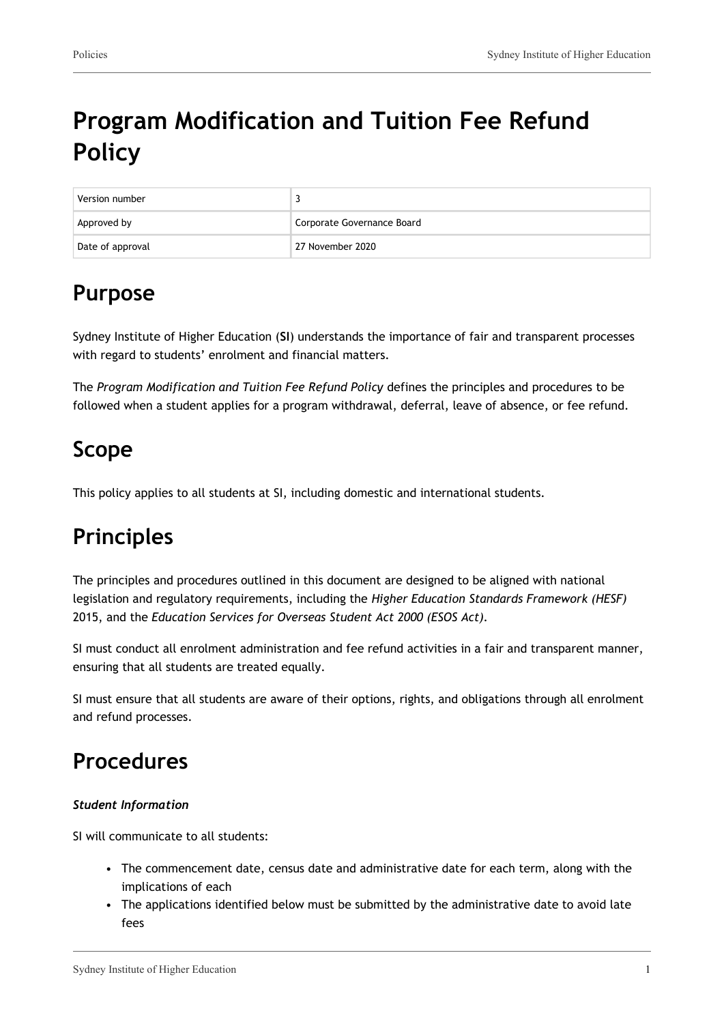# **Program Modification and Tuition Fee Refund Policy**

| Version number   |                            |
|------------------|----------------------------|
| Approved by      | Corporate Governance Board |
| Date of approval | 27 November 2020           |

## **Purpose**

Sydney Institute of Higher Education (**SI**) understands the importance of fair and transparent processes with regard to students' enrolment and financial matters.

The *Program Modification and Tuition Fee Refund Policy* defines the principles and procedures to be followed when a student applies for a program withdrawal, deferral, leave of absence, or fee refund.

## **Scope**

This policy applies to all students at SI, including domestic and international students.

## **Principles**

The principles and procedures outlined in this document are designed to be aligned with national legislation and regulatory requirements, including the *Higher Education Standards Framework (HESF)* 2015, and the *Education Services for Overseas Student Act 2000 (ESOS Act).*

SI must conduct all enrolment administration and fee refund activities in a fair and transparent manner, ensuring that all students are treated equally.

SI must ensure that all students are aware of their options, rights, and obligations through all enrolment and refund processes.

## **Procedures**

#### *Student Information*

SI will communicate to all students:

- The commencement date, census date and administrative date for each term, along with the implications of each
- The applications identified below must be submitted by the administrative date to avoid late fees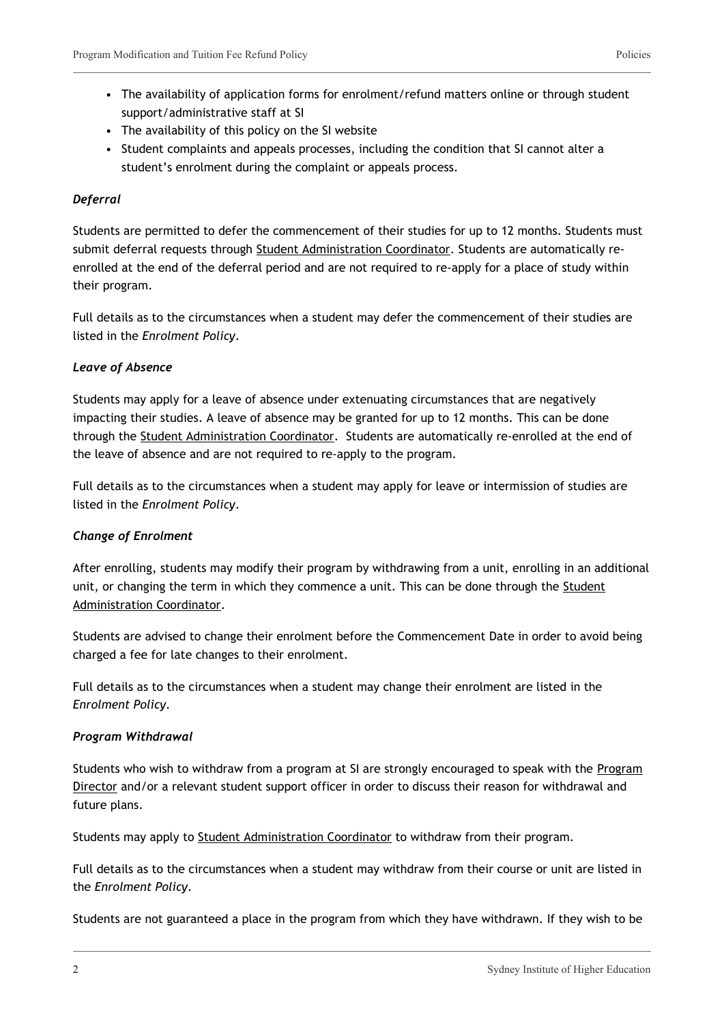- The availability of application forms for enrolment/refund matters online or through student support/administrative staff at SI
- The availability of this policy on the SI website
- Student complaints and appeals processes, including the condition that SI cannot alter a student's enrolment during the complaint or appeals process.

#### *Deferral*

Students are permitted to defer the commencement of their studies for up to 12 months. Students must submit deferral requests through Student Administration Coordinator. Students are automatically reenrolled at the end of the deferral period and are not required to re-apply for a place of study within their program.

Full details as to the circumstances when a student may defer the commencement of their studies are listed in the *Enrolment Policy*.

#### *Leave of Absence*

Students may apply for a leave of absence under extenuating circumstances that are negatively impacting their studies. A leave of absence may be granted for up to 12 months. This can be done through the Student Administration Coordinator. Students are automatically re-enrolled at the end of the leave of absence and are not required to re-apply to the program.

Full details as to the circumstances when a student may apply for leave or intermission of studies are listed in the *Enrolment Policy*.

#### *Change of Enrolment*

After enrolling, students may modify their program by withdrawing from a unit, enrolling in an additional unit, or changing the term in which they commence a unit. This can be done through the Student Administration Coordinator.

Students are advised to change their enrolment before the Commencement Date in order to avoid being charged a fee for late changes to their enrolment.

Full details as to the circumstances when a student may change their enrolment are listed in the *Enrolment Policy*.

#### *Program Withdrawal*

Students who wish to withdraw from a program at SI are strongly encouraged to speak with the Program Director and/or a relevant student support officer in order to discuss their reason for withdrawal and future plans.

Students may apply to Student Administration Coordinator to withdraw from their program.

Full details as to the circumstances when a student may withdraw from their course or unit are listed in the *Enrolment Policy*.

Students are not guaranteed a place in the program from which they have withdrawn. If they wish to be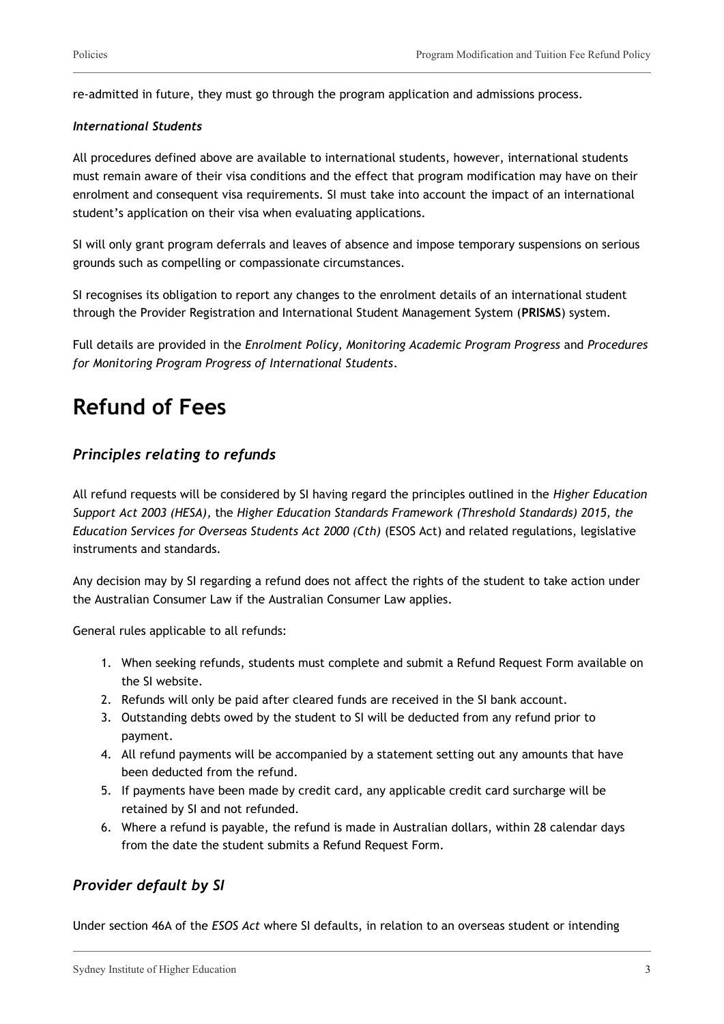re-admitted in future, they must go through the program application and admissions process.

#### *International Students*

All procedures defined above are available to international students, however, international students must remain aware of their visa conditions and the effect that program modification may have on their enrolment and consequent visa requirements. SI must take into account the impact of an international student's application on their visa when evaluating applications.

SI will only grant program deferrals and leaves of absence and impose temporary suspensions on serious grounds such as compelling or compassionate circumstances.

SI recognises its obligation to report any changes to the enrolment details of an international student through the Provider Registration and International Student Management System (**PRISMS**) system.

Full details are provided in the *Enrolment Policy, Monitoring Academic Program Progress* and *Procedures for Monitoring Program Progress of International Students*.

## **Refund of Fees**

### *Principles relating to refunds*

All refund requests will be considered by SI having regard the principles outlined in the *Higher Education Support Act 2003 (HESA),* the *Higher Education Standards Framework (Threshold Standards) 2015, the Education Services for Overseas Students Act 2000 (Cth)* (ESOS Act) and related regulations, legislative instruments and standards.

Any decision may by SI regarding a refund does not affect the rights of the student to take action under the Australian Consumer Law if the Australian Consumer Law applies.

General rules applicable to all refunds:

- 1. When seeking refunds, students must complete and submit a Refund Request Form available on the SI website.
- 2. Refunds will only be paid after cleared funds are received in the SI bank account.
- 3. Outstanding debts owed by the student to SI will be deducted from any refund prior to payment.
- 4. All refund payments will be accompanied by a statement setting out any amounts that have been deducted from the refund.
- 5. If payments have been made by credit card, any applicable credit card surcharge will be retained by SI and not refunded.
- 6. Where a refund is payable, the refund is made in Australian dollars, within 28 calendar days from the date the student submits a Refund Request Form.

### *Provider default by SI*

Under section 46A of the *ESOS Act* where SI defaults, in relation to an overseas student or intending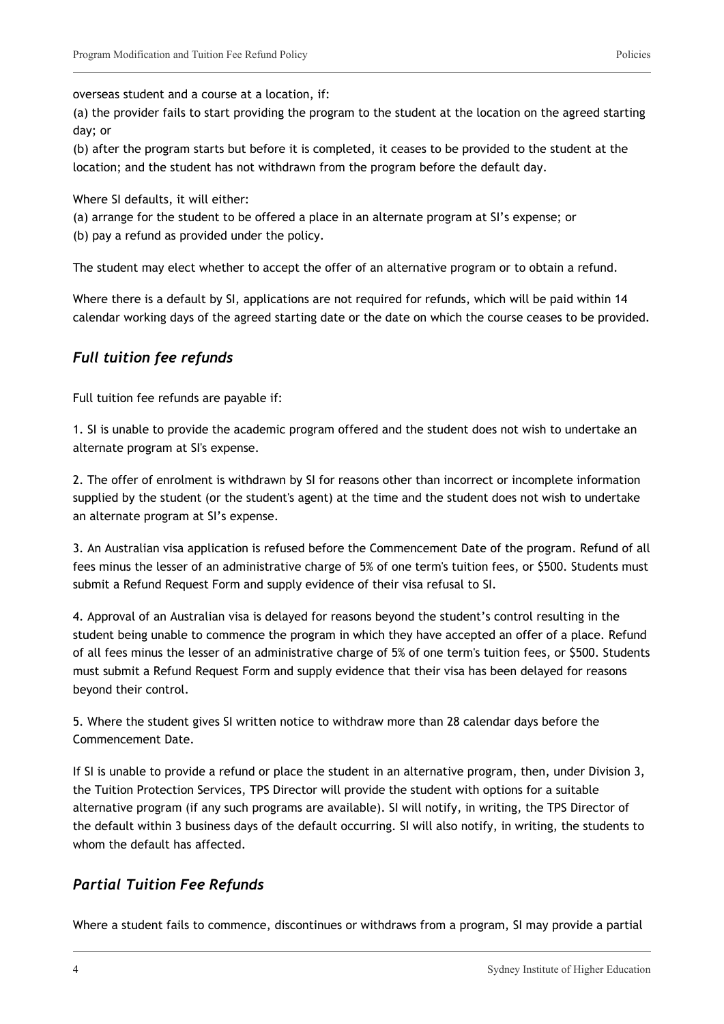overseas student and a course at a location, if:

(a) the provider fails to start providing the program to the student at the location on the agreed starting day; or

(b) after the program starts but before it is completed, it ceases to be provided to the student at the location; and the student has not withdrawn from the program before the default day.

Where SI defaults, it will either:

(a) arrange for the student to be offered a place in an alternate program at SI's expense; or

(b) pay a refund as provided under the policy.

The student may elect whether to accept the offer of an alternative program or to obtain a refund.

Where there is a default by SI, applications are not required for refunds, which will be paid within 14 calendar working days of the agreed starting date or the date on which the course ceases to be provided.

### *Full tuition fee refunds*

Full tuition fee refunds are payable if:

1. SI is unable to provide the academic program offered and the student does not wish to undertake an alternate program at SI's expense.

2. The offer of enrolment is withdrawn by SI for reasons other than incorrect or incomplete information supplied by the student (or the student's agent) at the time and the student does not wish to undertake an alternate program at SI's expense.

3. An Australian visa application is refused before the Commencement Date of the program. Refund of all fees minus the lesser of an administrative charge of 5% of one term's tuition fees, or \$500. Students must submit a Refund Request Form and supply evidence of their visa refusal to SI.

4. Approval of an Australian visa is delayed for reasons beyond the student's control resulting in the student being unable to commence the program in which they have accepted an offer of a place. Refund of all fees minus the lesser of an administrative charge of 5% of one term's tuition fees, or \$500. Students must submit a Refund Request Form and supply evidence that their visa has been delayed for reasons beyond their control.

5. Where the student gives SI written notice to withdraw more than 28 calendar days before the Commencement Date.

If SI is unable to provide a refund or place the student in an alternative program, then, under Division 3, the Tuition Protection Services, TPS Director will provide the student with options for a suitable alternative program (if any such programs are available). SI will notify, in writing, the TPS Director of the default within 3 business days of the default occurring. SI will also notify, in writing, the students to whom the default has affected.

### *Partial Tuition Fee Refunds*

Where a student fails to commence, discontinues or withdraws from a program, SI may provide a partial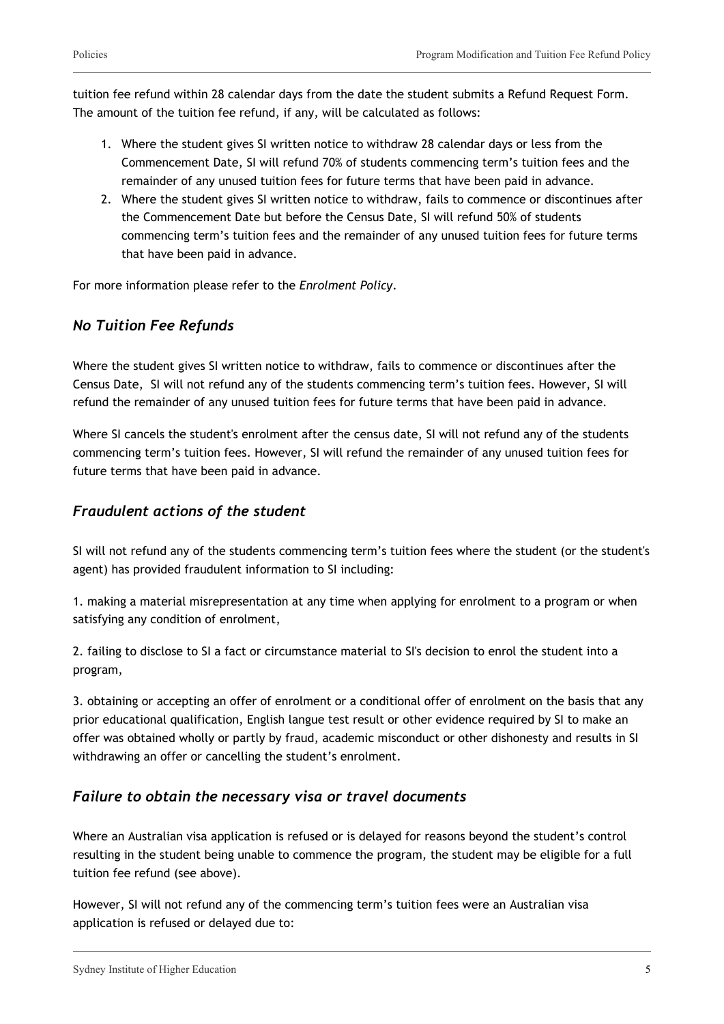tuition fee refund within 28 calendar days from the date the student submits a Refund Request Form. The amount of the tuition fee refund, if any, will be calculated as follows:

- 1. Where the student gives SI written notice to withdraw 28 calendar days or less from the Commencement Date, SI will refund 70% of students commencing term's tuition fees and the remainder of any unused tuition fees for future terms that have been paid in advance.
- 2. Where the student gives SI written notice to withdraw, fails to commence or discontinues after the Commencement Date but before the Census Date, SI will refund 50% of students commencing term's tuition fees and the remainder of any unused tuition fees for future terms that have been paid in advance.

For more information please refer to the *Enrolment Policy*.

### *No Tuition Fee Refunds*

Where the student gives SI written notice to withdraw, fails to commence or discontinues after the Census Date, SI will not refund any of the students commencing term's tuition fees. However, SI will refund the remainder of any unused tuition fees for future terms that have been paid in advance.

Where SI cancels the student's enrolment after the census date, SI will not refund any of the students commencing term's tuition fees. However, SI will refund the remainder of any unused tuition fees for future terms that have been paid in advance.

### *Fraudulent actions of the student*

SI will not refund any of the students commencing term's tuition fees where the student (or the student's agent) has provided fraudulent information to SI including:

1. making a material misrepresentation at any time when applying for enrolment to a program or when satisfying any condition of enrolment,

2. failing to disclose to SI a fact or circumstance material to SI's decision to enrol the student into a program,

3. obtaining or accepting an offer of enrolment or a conditional offer of enrolment on the basis that any prior educational qualification, English langue test result or other evidence required by SI to make an offer was obtained wholly or partly by fraud, academic misconduct or other dishonesty and results in SI withdrawing an offer or cancelling the student's enrolment.

### *Failure to obtain the necessary visa or travel documents*

Where an Australian visa application is refused or is delayed for reasons beyond the student's control resulting in the student being unable to commence the program, the student may be eligible for a full tuition fee refund (see above).

However, SI will not refund any of the commencing term's tuition fees were an Australian visa application is refused or delayed due to: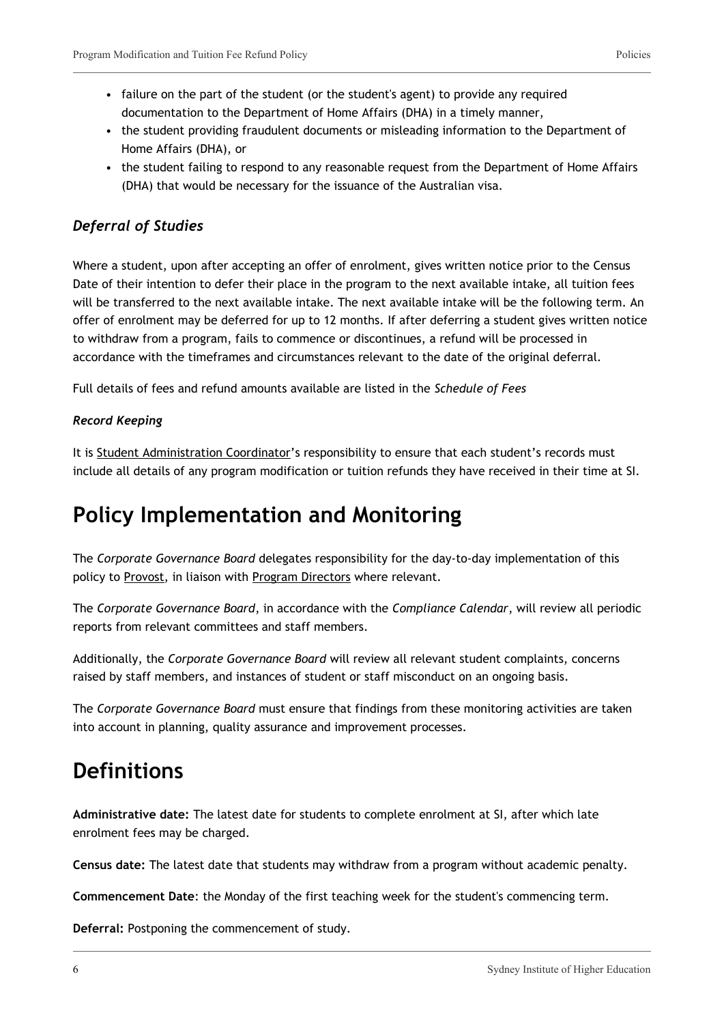- failure on the part of the student (or the student's agent) to provide any required documentation to the Department of Home Affairs (DHA) in a timely manner,
- the student providing fraudulent documents or misleading information to the Department of Home Affairs (DHA), or
- the student failing to respond to any reasonable request from the Department of Home Affairs (DHA) that would be necessary for the issuance of the Australian visa.

### *Deferral of Studies*

Where a student, upon after accepting an offer of enrolment, gives written notice prior to the Census Date of their intention to defer their place in the program to the next available intake, all tuition fees will be transferred to the next available intake. The next available intake will be the following term. An offer of enrolment may be deferred for up to 12 months. If after deferring a student gives written notice to withdraw from a program, fails to commence or discontinues, a refund will be processed in accordance with the timeframes and circumstances relevant to the date of the original deferral.

Full details of fees and refund amounts available are listed in the *Schedule of Fees*

#### *Record Keeping*

It is Student Administration Coordinator's responsibility to ensure that each student's records must include all details of any program modification or tuition refunds they have received in their time at SI.

## **Policy Implementation and Monitoring**

The *Corporate Governance Board* delegates responsibility for the day-to-day implementation of this policy to Provost, in liaison with Program Directors where relevant.

The *Corporate Governance Board*, in accordance with the *Compliance Calendar*, will review all periodic reports from relevant committees and staff members.

Additionally, the *Corporate Governance Board* will review all relevant student complaints, concerns raised by staff members, and instances of student or staff misconduct on an ongoing basis.

The *Corporate Governance Board* must ensure that findings from these monitoring activities are taken into account in planning, quality assurance and improvement processes.

### **Definitions**

**Administrative date:** The latest date for students to complete enrolment at SI, after which late enrolment fees may be charged.

**Census date:** The latest date that students may withdraw from a program without academic penalty.

**Commencement Date**: the Monday of the first teaching week for the student's commencing term.

**Deferral:** Postponing the commencement of study.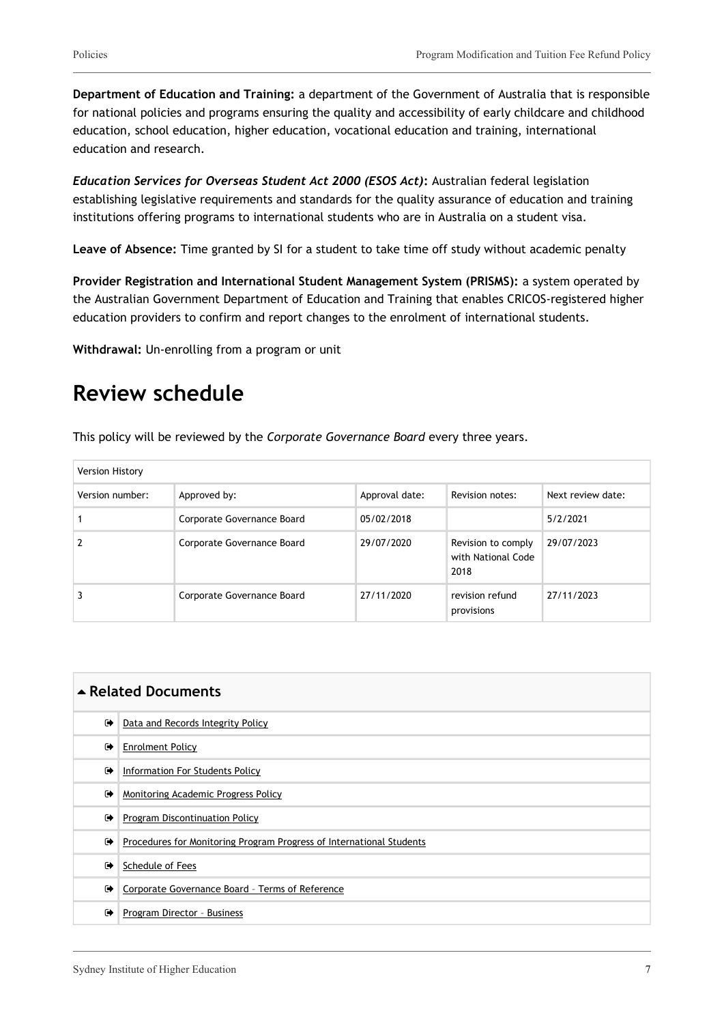**Department of Education and Training:** a department of the Government of Australia that is responsible for national policies and programs ensuring the quality and accessibility of early childcare and childhood education, school education, higher education, vocational education and training, international education and research.

*Education Services for Overseas Student Act 2000 (ESOS Act)***:** Australian federal legislation establishing legislative requirements and standards for the quality assurance of education and training institutions offering programs to international students who are in Australia on a student visa.

**Leave of Absence:** Time granted by SI for a student to take time off study without academic penalty

**Provider Registration and International Student Management System (PRISMS):** a system operated by the Australian Government Department of Education and Training that enables CRICOS-registered higher education providers to confirm and report changes to the enrolment of international students.

**Withdrawal:** Un-enrolling from a program or unit

## **Review schedule**

This policy will be reviewed by the *Corporate Governance Board* every three years.

| Version History |                            |                |                                                  |                   |  |
|-----------------|----------------------------|----------------|--------------------------------------------------|-------------------|--|
| Version number: | Approved by:               | Approval date: | Revision notes:                                  | Next review date: |  |
|                 | Corporate Governance Board | 05/02/2018     |                                                  | 5/2/2021          |  |
|                 | Corporate Governance Board | 29/07/2020     | Revision to comply<br>with National Code<br>2018 | 29/07/2023        |  |
|                 | Corporate Governance Board | 27/11/2020     | revision refund<br>provisions                    | 27/11/2023        |  |

| ▲ Related Documents |                                                                      |  |
|---------------------|----------------------------------------------------------------------|--|
| $\rightarrow$       | Data and Records Integrity Policy                                    |  |
| ☞                   | <b>Enrolment Policy</b>                                              |  |
| $\bullet$           | Information For Students Policy                                      |  |
| ☞                   | Monitoring Academic Progress Policy                                  |  |
| ☞                   | Program Discontinuation Policy                                       |  |
| $\bullet$           | Procedures for Monitoring Program Progress of International Students |  |
| ☞                   | Schedule of Fees                                                     |  |
| ☞                   | Corporate Governance Board - Terms of Reference                      |  |
| ☞                   | Program Director - Business                                          |  |